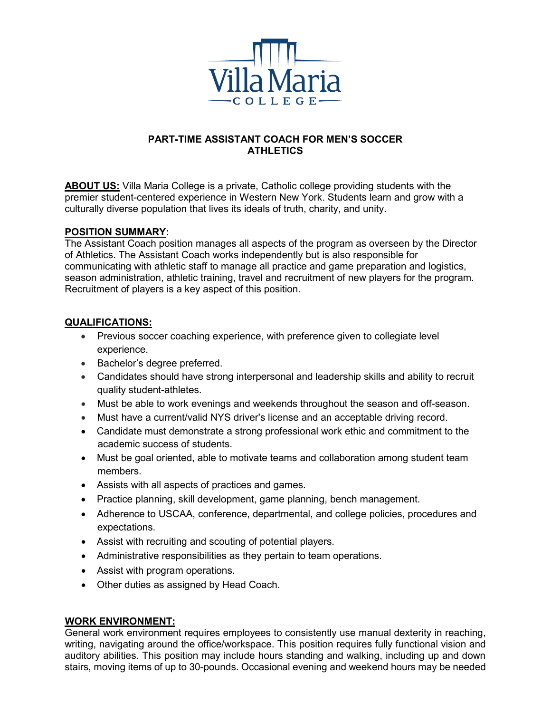

# **PART-TIME ASSISTANT COACH FOR MEN'S SOCCER ATHLETICS**

**ABOUT US:** Villa Maria College is a private, Catholic college providing students with the premier student-centered experience in Western New York. Students learn and grow with a culturally diverse population that lives its ideals of truth, charity, and unity.

## **POSITION SUMMARY:**

The Assistant Coach position manages all aspects of the program as overseen by the Director of Athletics. The Assistant Coach works independently but is also responsible for communicating with athletic staff to manage all practice and game preparation and logistics, season administration, athletic training, travel and recruitment of new players for the program. Recruitment of players is a key aspect of this position.

## **QUALIFICATIONS:**

- Previous soccer coaching experience, with preference given to collegiate level experience.
- Bachelor's degree preferred.
- Candidates should have strong interpersonal and leadership skills and ability to recruit quality student-athletes.
- Must be able to work evenings and weekends throughout the season and off-season.
- Must have a current/valid NYS driver's license and an acceptable driving record.
- Candidate must demonstrate a strong professional work ethic and commitment to the academic success of students.
- Must be goal oriented, able to motivate teams and collaboration among student team members.
- Assists with all aspects of practices and games.
- Practice planning, skill development, game planning, bench management.
- Adherence to USCAA, conference, departmental, and college policies, procedures and expectations.
- Assist with recruiting and scouting of potential players.
- Administrative responsibilities as they pertain to team operations.
- Assist with program operations.
- Other duties as assigned by Head Coach.

## **WORK ENVIRONMENT:**

General work environment requires employees to consistently use manual dexterity in reaching, writing, navigating around the office/workspace. This position requires fully functional vision and auditory abilities. This position may include hours standing and walking, including up and down stairs, moving items of up to 30-pounds. Occasional evening and weekend hours may be needed